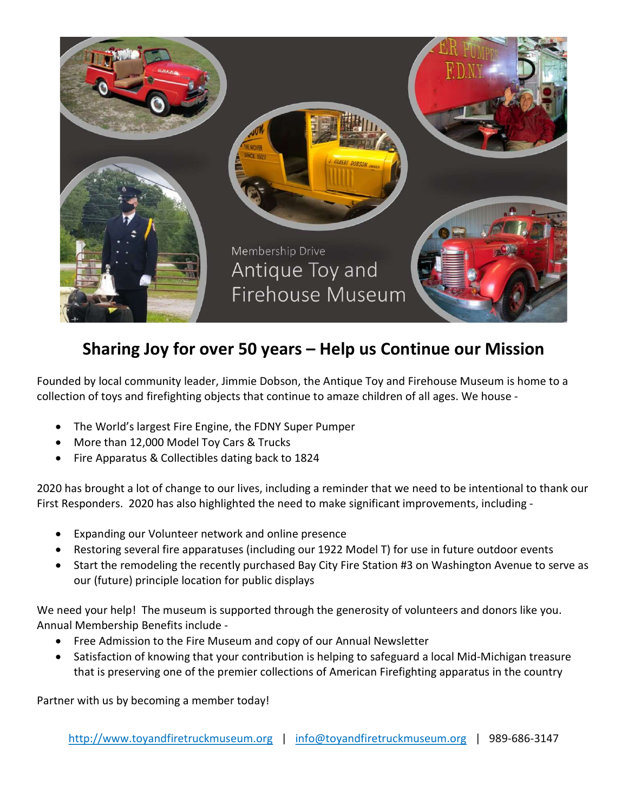

## Sharing Joy for over 50 years – Help us Continue our Mission

Founded by local community leader, Jimmie Dobson, the Antique Toy and Firehouse Museum is home to a collection of toys and firefighting objects that continue to amaze children of all ages. We house -

- The World's largest Fire Engine, the FDNY Super Pumper
- More than 12,000 Model Toy Cars & Trucks
- Fire Apparatus & Collectibles dating back to 1824

2020 has brought a lot of change to our lives, including a reminder that we need to be intentional to thank our First Responders. 2020 has also highlighted the need to make significant improvements, including -

- Expanding our Volunteer network and online presence
- Restoring several fire apparatuses (including our 1922 Model T) for use in future outdoor events
- Start the remodeling the recently purchased Bay City Fire Station #3 on Washington Avenue to serve as our (future) principle location for public displays

We need your help! The museum is supported through the generosity of volunteers and donors like you. Annual Membership Benefits include -

- Free Admission to the Fire Museum and copy of our Annual Newsletter
- Satisfaction of knowing that your contribution is helping to safeguard a local Mid-Michigan treasure that is preserving one of the premier collections of American Firefighting apparatus in the country

Partner with us by becoming a member today!